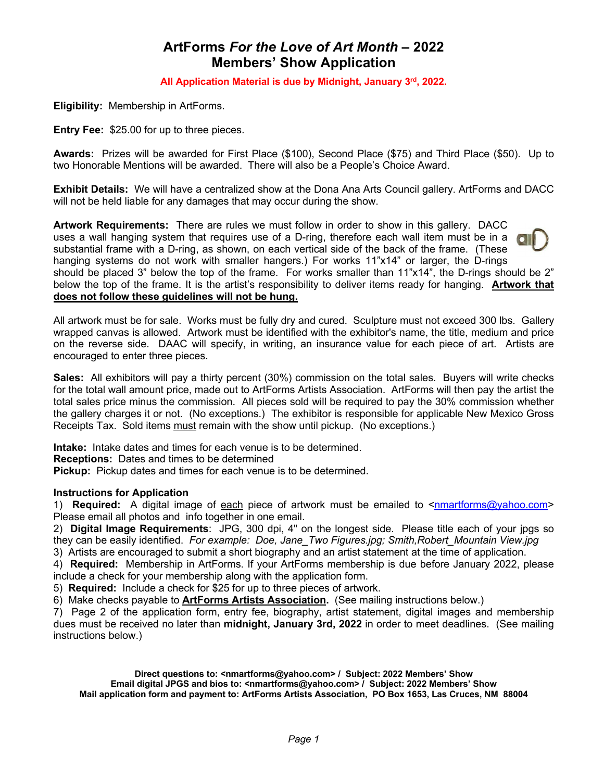## **ArtForms** *For the Love of Art Month* **– 2022 Members' Show Application**

**All Application Material is due by Midnight, January 3rd, 2022.**

**Eligibility:** Membership in ArtForms.

**Entry Fee:** \$25.00 for up to three pieces.

**Awards:** Prizes will be awarded for First Place (\$100), Second Place (\$75) and Third Place (\$50). Up to two Honorable Mentions will be awarded. There will also be a People's Choice Award.

**Exhibit Details:** We will have a centralized show at the Dona Ana Arts Council gallery. ArtForms and DACC will not be held liable for any damages that may occur during the show.

**Artwork Requirements:** There are rules we must follow in order to show in this gallery. DACC uses a wall hanging system that requires use of a D-ring, therefore each wall item must be in a substantial frame with a D-ring, as shown, on each vertical side of the back of the frame. (These hanging systems do not work with smaller hangers.) For works 11"x14" or larger, the D-rings should be placed 3" below the top of the frame. For works smaller than 11"x14", the D-rings should be 2" below the top of the frame. It is the artist's responsibility to deliver items ready for hanging. **Artwork that does not follow these guidelines will not be hung.**

All artwork must be for sale. Works must be fully dry and cured. Sculpture must not exceed 300 lbs. Gallery wrapped canvas is allowed. Artwork must be identified with the exhibitor's name, the title, medium and price on the reverse side. DAAC will specify, in writing, an insurance value for each piece of art. Artists are encouraged to enter three pieces.

**Sales:** All exhibitors will pay a thirty percent (30%) commission on the total sales. Buyers will write checks for the total wall amount price, made out to ArtForms Artists Association. ArtForms will then pay the artist the total sales price minus the commission. All pieces sold will be required to pay the 30% commission whether the gallery charges it or not. (No exceptions.) The exhibitor is responsible for applicable New Mexico Gross Receipts Tax. Sold items must remain with the show until pickup. (No exceptions.)

**Intake:** Intake dates and times for each venue is to be determined.

**Receptions:** Dates and times to be determined

**Pickup:** Pickup dates and times for each venue is to be determined.

## **Instructions for Application**

1) **Required:** A digital image of each piece of artwork must be emailed to <nmartforms@yahoo.com> Please email all photos and info together in one email.

2) **Digital Image Requirements**: JPG, 300 dpi, 4" on the longest side.Please title each of your jpgs so they can be easily identified. *For example: Doe, Jane\_Two Figures.jpg; Smith,Robert\_Mountain View.jpg*

3) Artists are encouraged to submit a short biography and an artist statement at the time of application.

4) **Required:** Membership in ArtForms. If your ArtForms membership is due before January 2022, please include a check for your membership along with the application form.

5) **Required:** Include a check for \$25 for up to three pieces of artwork.

6) Make checks payable to **ArtForms Artists Association.** (See mailing instructions below.)

7) Page 2 of the application form, entry fee, biography, artist statement, digital images and membership dues must be received no later than **midnight, January 3rd, 2022** in order to meet deadlines. (See mailing instructions below.)

**Direct questions to: <nmartforms@yahoo.com> / Subject: 2022 Members' Show Email digital JPGS and bios to: <nmartforms@yahoo.com> / Subject: 2022 Members' Show Mail application form and payment to: ArtForms Artists Association, PO Box 1653, Las Cruces, NM 88004**